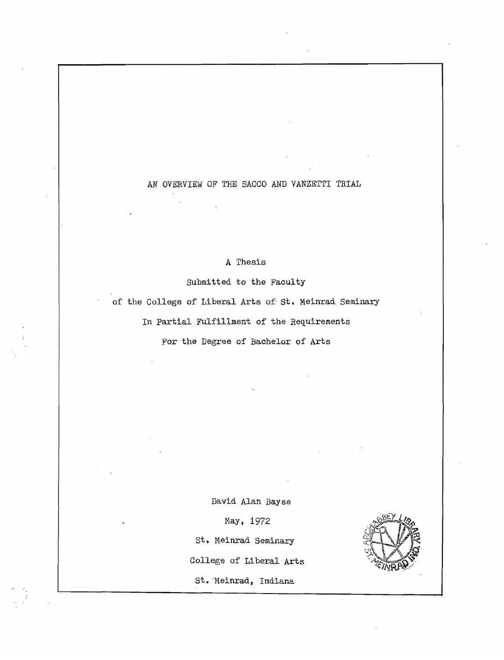# AN OVERVIEW OF THE SACCO AND VANZETTI TRIAL

## A Thesis

Submitted to the Faculty of the College of Liberal Arts of' st. Meinrad seminary In Partial Fulfillment of the Requirements For the Degree of Bachelor of Arts

David Alan Bayse

May, 1972

st. Meinrad Seminary

College of Liberal Arts

St. Meinrad, Indiana

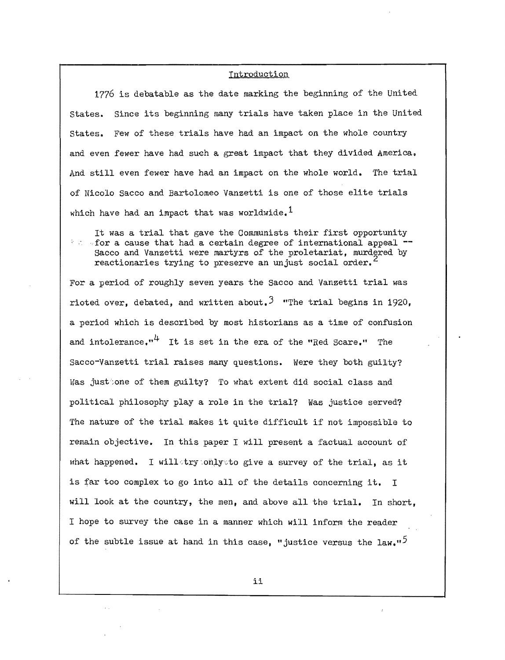### Introduction

1776 is debatable as the date marking the beginning of the United states. Since its beginning many trials have taken place in the United states. Few of these trials have had an impact on the whole country and even fewer have had such a great impact that they divided America. And still even fewer have had an impact on the whole world. The trial of Nicolo Sacco and Bartolomeo Vanzetti is one of those elite trials which have had an impact that was worldwide.<sup>1</sup>

It was a trial that gave the Communists their first opportunity<br>For a cause that had a certain degree of international appeal --Sacco and Vanzetti were martyrs of the proletariat, murdered by reactionaries trying to preserve an unjust social order.<sup>2</sup>

For a period of roughly seven years the Sacco and Vanzetti trial was rioted over, debated, and written about.<sup>3</sup> "The trial begins in 1920, a period which is described by most historians as a time of confusion and intolerance."<sup>4</sup> It is set in the era of the "Red Scare." The Sacco-Vanzetti trial raises many questions. Were they both guilty? Was just;one of them guilty? To what extent did social class and political philosophy playa role in the trial? Was justice served? The nature of the trial makes it quite difficult if not impossible to remain objective. In this paper I will present a factual account of what happened. I willstry onlysto give a survey of the trial, as it is far too complex to go into all of the details concerning it. I will look at the country, the men, and above all the trial. In short, I hope to survey the case in a manner which will inform the reader of the subtle issue at hand in this case, "justice versus the  $law''$ 

ii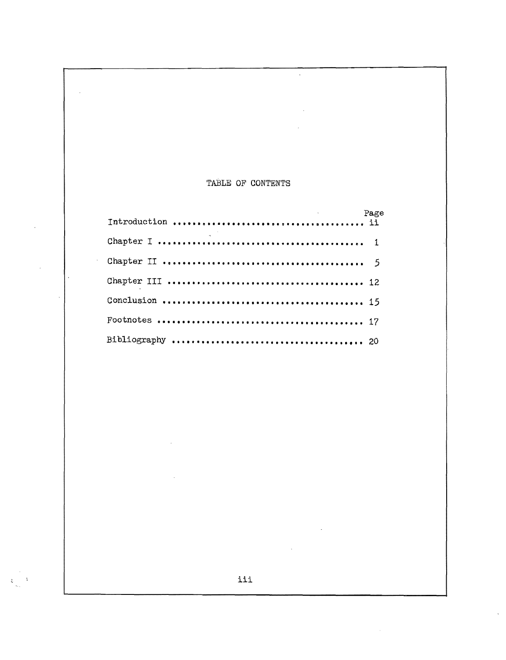## TABLE OF CONTENTS

 $\bar{\mathcal{A}}$ 

 $\mathcal{A}$ 

 $\ddot{\phantom{a}}$ 

 $\frac{1}{2}$ 

 $\mathcal{L}^{\pm}$ 

÷.

 $\ddot{\psi}$ 

 $\bar{z}$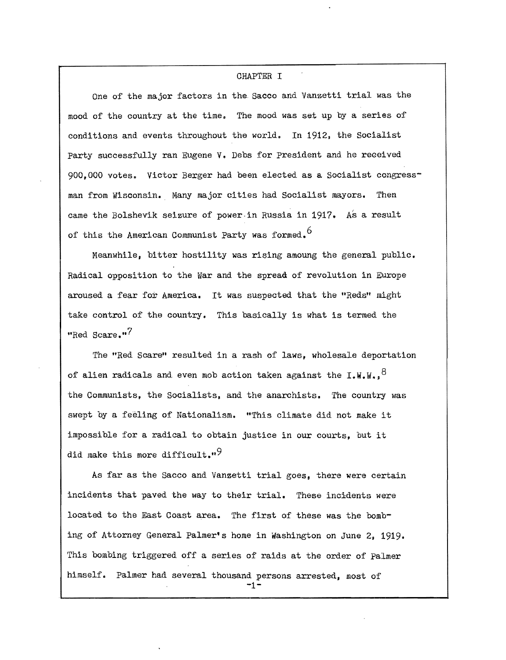#### CHAPTER I

One of the major factors in the Sacco and Vanzetti trial was the mood of the country at the time. The mood was set up by a series of conditions and events throughout the world. In 1912, the Socialist party successfully ran Eugene V. Debs for president and he received 900,000 votes. Victor Berger had been elected as a Socialist congressman from Wisconsin. Many major cities had Socialist mayors. Then came the Bolshevik seizure of power. in Russia in 1917. As a result of this the American Communist Party was formed. 6

Meanwhile, bitter hostility was rising amoung the general public. Radical opposition to the War and the spread of revolution in Europe aroused a fear for America. It was suspected that the "Reds" might take control of the country. This basically is what is termed the "Red Scare."<sup>7</sup>

The "Red Scare" resulted in a rash of laws, wholesale deportation of alien radicals and even mob action taken against the  $1. W. W.$ <sup>8</sup> the Communists, the Socialists, and the anarchists. The country was swept by a feeling of Nationalism. "This climate did not make it impossible for a radical to obtain justice in our courts, but it did make this more difficult." $9$ 

As far as the Sacco and Vanzetti trial goes, there were certain incidents that paved the way to their trial. These incidents were located to the East Coast area. The first of these was the bombing of Attorney General Palmer's home in Washington on June 2, 1919. This bombing triggered off a series of raids at the order of Palmer himself. Palmer had several thousand persons arrested, most of **-1**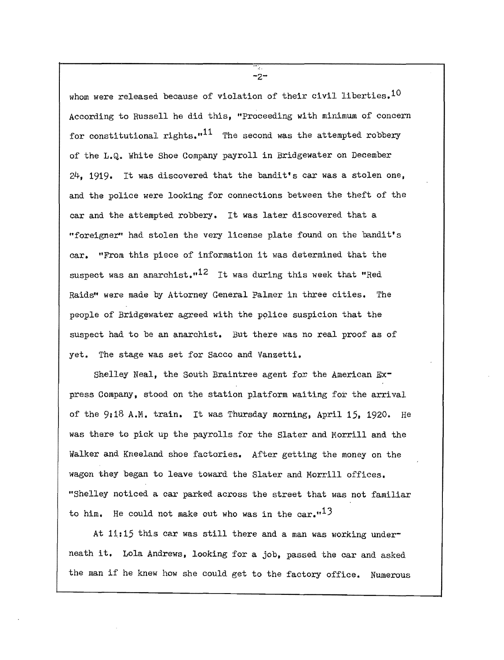whom were released because of violation of their civil liberties.  $10$ According to Russell he did this, "Proceeding with minimum of concern for constitutional rights. $1^{11}$  The second was the attempted robbery of the L.Q. White Shoe Company payroll in Bridgewater on December 24, 1919. It was discovered that the bandit's car was a stolen one, and the police were looking for connections between the theft of the car and the attempted robbery. It was later discovered that a "foreigner' had stolen the very license plate found on the bandit's car. "From this piece of information it was determined that the suspect was an anarchist.<sup>12</sup> It was during this week that "Red Raids" were made by Attorney General Palmer in three cities. The people of Bridgewater agreed with the police suspicion that the suspect had to be an anarchist. But there was no real proof as of yet. The stage was set for Sacco and Vanzetti.

Shelley Neal, the South Braintree agent *fox* the American Express Company, stood on the station platform waiting for the arrival of the 9:18 A.M. train. It was Thursday morning, April 15. 1920. He was there to pick up the payrolls for the Slater and Morrill and the Walker and Kneeland shoe factories. After getting the money on the wagon they began to leave toward the Slater and Morrill offices. "Shelley noticed a car parked across the street that was not familiar to him. He could not make out who was in the  $car.^{13}$ 

At  $11:15$  this car was still there and a man was working underneath it. Lola Andrews, looking for a job. passed the car and asked the man if he knew how she could get to the factory office. Numerous

 $-2-$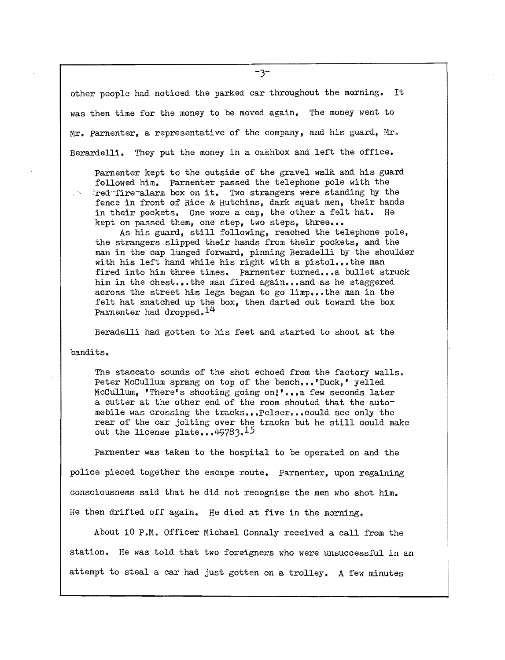other people had noticed the parked car throughout the morning. It was then time for the money to be moved again. The money went to Mr. Parnenter, a representative of the company, and his guard, Mr. Berardelli. They put the money in a cashbox and left the office.

Parnenter kept to the outside of the gravel walk and his guard followed him. parnenter passed the telephone pole with the 'red'-fire-alarm box on it. Two strangers were standing by the fence in front of Rice & Hutchins, dark squat men, their hands in their pockets. One wore a cap, the other a felt hat. He kept on passed them, one step, two steps, three...

As his guard, still following, reached the telephone pole, the strangers slipped their hands from their pockets, and the man in the cap lunged forward, pinning Beradelli by the shoulder with his left hand while his right with a pistol...the man fired into him three times. Parnenter turned...a bullet struck him in the chest...the man fired again...and as he staggered across the street his legs began to go limp... the man in the felt hat snatched up the box, then darted out toward the box Parnenter had dropped.<sup>14</sup>

Beradelli had gotten to his feet and started to shoot at the

bandits.

The staccato sounds of the shot echoed from the factory walls. Peter McCullum sprang on top of the bench...'Duck,' yelled McCullum, 'There's shooting going on!'...a few seconds later a cutter at the other end of the room shouted that the automobile was crossing the tracks•••pelser••• could see only the rear of the car jolting over the tracks but he still could make out the license plate...49783.15

Parnenter was taken to the hospital to be operated on and the police pieced together the escape route. Parnenter, upon regaining consciousness said that he did not recognize the men who shot him. He then drifted off again. He died at five in the morning.

About 10 P.M. Officer Michael Connaly received a call from the station. He was told that two foreigners who were unsuccessful in an attempt to steal a car had just gotten on a trolley. A few minutes

 $-3-$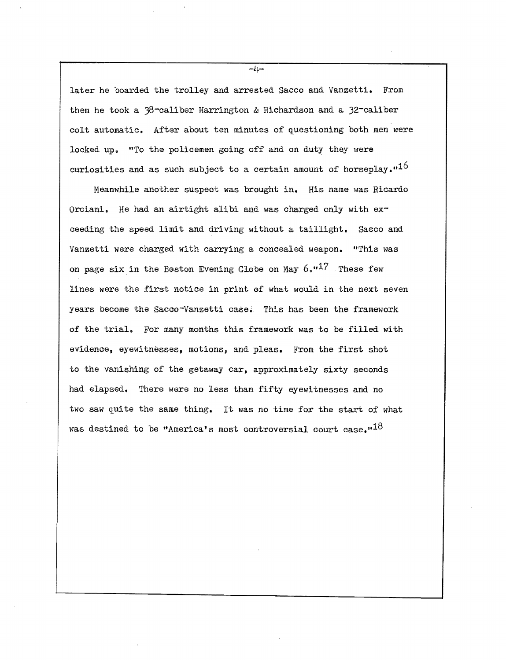later he boarded the trolley and arrested Sacco and Vanzetti. From them he took a y8-caliber Harrington & Richardson and a 32-caliber colt automatic. After about ten minutes of questioning both men were locked up. "To the policemen going off and on duty they were curiosities and as such subject to a certain amount of horseplay. $16$ 

Meanwhile another suspect was brought in. His name was Ricardo Orciani. He had an airtight alibi and was charged only with  $ex$ ceeding the speed limit and driving without a taillight. Sacco and Vanzetti were charged with carrying a concealed weapon. "This was on page six in the Boston Evening Globe on May  $6. 17$  These few lines were the first notice in print of what would in the next seven years become the Sacco-Vanzetti case. This has been the framework of the trial. For many months this framework was to be filled with evidence, eyewitnesses, motions, and pleas. From the first shot to the vanishing of the getaway car. approximately sixty seconds had elapsed. There were no less than fifty eyewitnesses and no two saw quite the same thing. It was no time for the start of what was destined to be "America's most controversial court case." $^{18}$ 

 $-l_1 -$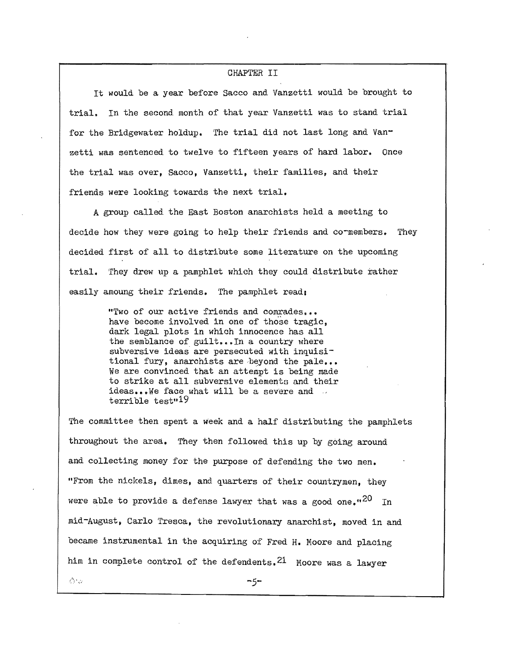#### CHAPTER II

It would be a year before Sacco and Vanzetti would be brought to trial. In the second month of that year Vanzetti was to stand trial for the Bridgewater holdup. The trial did not last long and Vanzetti was sentenced to twelve to fifteen years of hard labor. Once the trial was over, Sacco, Vanzetti, their families, and their friends were looking towards the next trial.

A group called the East Boston anarchists held a meeting to decide how they were going to help their friends and cormembers. They decided first of all to distribute some literature on the upcoming trial. They drew up a pamphlet which they could distribute rather easily amoung their friends. The pamphlet read:

> "Two of our active friends and comrades ••• have become involved in one of those tragic, dark legal plots in which innocence has all the semblance of guilt...In a country where subversive ideas are persecuted with inquisitional fury, anarchists are beyond the pale... We are convinced that an attempt is being made to strike at all subversive elements and their ideas...We face what will be a severe and  $\sim$  $terrible test "19$

The committee then spent a week and a half distributing the pamphlets throughout the area. They then followed this up by going around and collecting money for the purpose of defending the two men. "From the nickels, dimes, and quarters of their countrymen, they were able to provide a defense lawyer that was a good one.<sup> $n^{20}$ </sup> In mid-August, Carlo Tresca, the revolutionary anarchist, moved in and became instrumental in the acquiring of Fred H. Moore and placing him in complete control of the defendents.  $21$  Moore was a lawyer

ろいい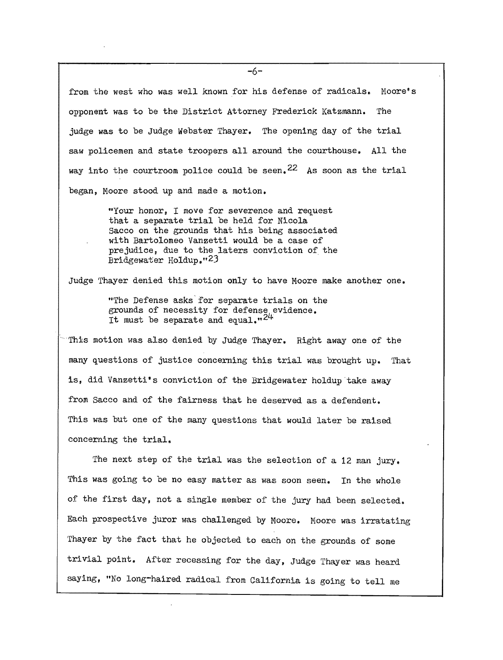from the west who was well known for his defense of radicals. Moore's opponent was to be the District Attorney Frederick Katzmann. The judge was to be Judge Webster Thayer. The opening day of the trial saw policemen and state troopers all around the courthouse. All the way into the courtroom police could be seen.  $22$  As soon as the trial began, Moore stood up and made a motion.

> "Your honor, I move for severence and request that a separate trial be held for Nicola Sacco on the grounds that his being associated with Bartolomeo Vanzetti would be a case of prejudice, due to the laters conviction of the Bridgewater Holdup."23

Judge Thayer denied this motion only to have Moore make another one.

"The Defense asks'for separate trials on the grounds of necessity for defense evidence. It must be separate and equal. $^{124}$ 

This motion was also denied by Judge Thayer. Right away one of the many questions of justice concerning this trial was brought up. That is, did Vanzetti's conviction of the Bridgewater holdup take away from Sacco and of the fairness that he deserved as a defendent. This was but one of the many questions that would later be raised concerning the trial.

The next step of the trial was the selection of a 12 man jury. This was going to be no easy matter as was soon seen. In the whole of the first day, not a single member of the jury had been selected. Each prospective juror was challenged by Moore. Moore was irratating Thayer by the fact that he objected to each on the grounds of some trivial point. After recessing for the day, Judge Thayer was heard saying, "No long-haired radical from California is going to tell me

 $-6-$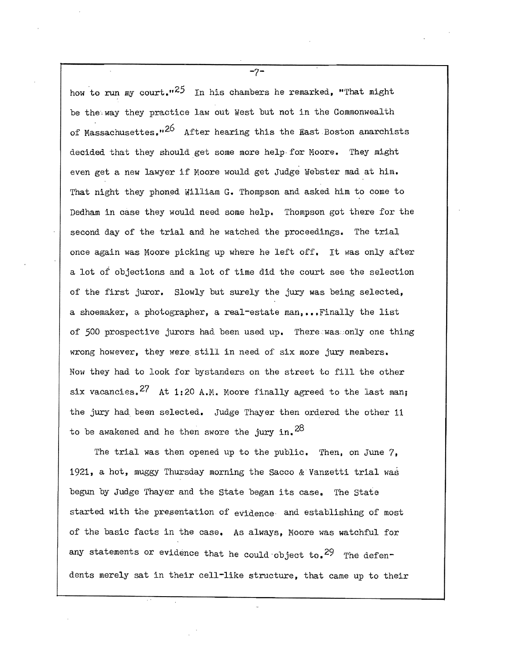how to run my court.<sup> $25$ </sup> In his chambers he remarked, "That might be the way they practice law out West but not in the Commonwealth of Massachusettes.  $2^6$  After hearing this the East Boston anarchists decided that they should get some more help· for Moore. They might even get a new lawyer if Moore would get Judge Webster mad at him. That night they phoned William G. Thompson and asked him to come to Dedham in case they would need some help. Thompson got there for the second day of the trial and he watched the proceedings. The trial once again was Moore picking up where he left off. It was only after a lot of objections and a lot of time did the court see the selection of the first juror. Slowly but surely the jury was being selected, a shoemaker, a photographer, a real-estate man...Finally the list of 500 prospective jurors had been used up. Therewas: only one thing wrong however, they were still in need of six more jury members. Now they had to look for bystanders on the street to fill the other six vacancies.<sup>27</sup> At 1:20 A.M. Moore finally agreed to the last man; the jury had been selected. Judge Thayer then ordered the other 11 to be awakened and he then swore the jury in.  $28$ 

The trial was then opened up to the public. Then, on June 7, 1921, a hot, muggy Thursday morning the Sacco & Vanzetti trial was begun by Judge Thayer and the State began its case. The State started with the presentation of evidence and establishing of most of the basic facts in the case. As always, Moore was watchful for any statements or evidence that he could object to.<sup>29</sup> The defendents merely sat in their cell-like structure, that came up to their

 $-7-$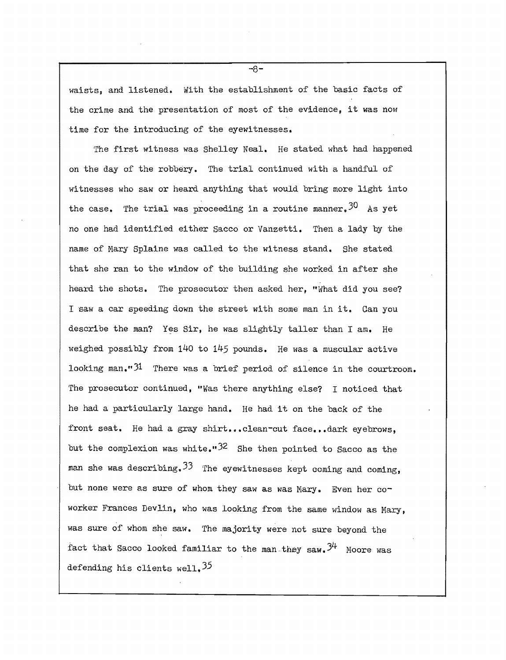waists, and listened. With the establishment of the basic facts of the crime and the presentation of most of the evidence, it was now time for the introducing of the eyewitnesses.

The first witness was Shelley Neal. He stated what had happened on the day of the robbery. The trial continued with a handful of witnesses who saw or heard anything that would bring more light into the case. The trial was proceeding in a routine manner.  $30$  As yet no one had identified either Sacco or Vanzetti. Then a lady by the name of Nary Splaine was called to the witness stand. She stated that she ran to the window of the building she worked in after she heard the shots. The prosecutor then asked her. "What did you see? I saw a car speeding down the street with some man in it. Can you describe the man? Yes Sir, he was slightly taller than I am. He weighed possibly from 140 to 145 pounds. He was a muscular active looking  $man.^{n}$ <sup>31</sup> There was a brief period of silence in the courtroom. The prosecutor continued, "Was there anything else? I noticed that he had a particularly large hand. He had it on the back of the front seat. He had a gray shirt... clean-cut face... dark eyebrows. but the complexion was white.<sup>"32</sup> She then pointed to Sacco as the man she was describing.  $33$  The eyewitnesses kept coming and coming. but none were as sure of whom they saw as was Mary. Even her coworker Frances Devlin, who was looking from the same window as Mary, was sure of whom she saw. The majority were not sure beyond the fact that Sacco looked familiar to the man they saw.  $3^{\mu}$  Moore was defending his clients well.  $35$ 

 $-A-$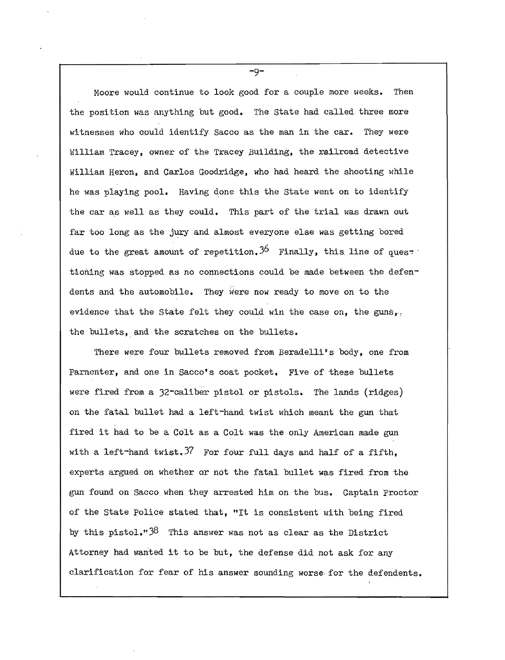Moore would continue to look good for a couple more weeks. Then the position was anything but good. The state had called three more witnesses who could identify Sacco as the man in the car. They were William Tracey, owner of the Tracey Building, the railroad detective William Heron, and Carlos Goodridge, who had heard the shooting while he was playing pool. Having done this the state went on to identify the car as well as they could. This part of the trial was drawn out far too long as the jury and almost everyone else was getting bored due to the great amount of repetition.<sup>36</sup> Finally, this line of ques<sup>\*</sup> tioning was stopped as no connections could be made between the defendents and the automobile. They were now ready to move on to the evidence that the State felt they could win the case on, the guns,. the bullets, and the scratches on the bullets.

There were four bullets removed from Beradelli's body, one from Parnenter, and one in Sacco's coat pocket. Five of these bullets were fired from a 32-caliber pistol or pistols. The lands (ridges) on the fatal bullet had a left-hand twist which meant the gun that .fired it had to be a Colt as a Colt was the only American made gun with a left-hand twist.  $37$  For four full days and half of a fifth, experts argued on whether or not the fatal bullet was fired from the gun found on Sacco when they arrested him on the bus. Captain Proctor of the State Police stated that, "It is consistent with being fired by this pistol." $38$  This answer was not as clear as the District Attorney had wanted it to be but, the defense did not ask for any clarification for fear of his answer sounding worse· for the defendents.

 $-9-$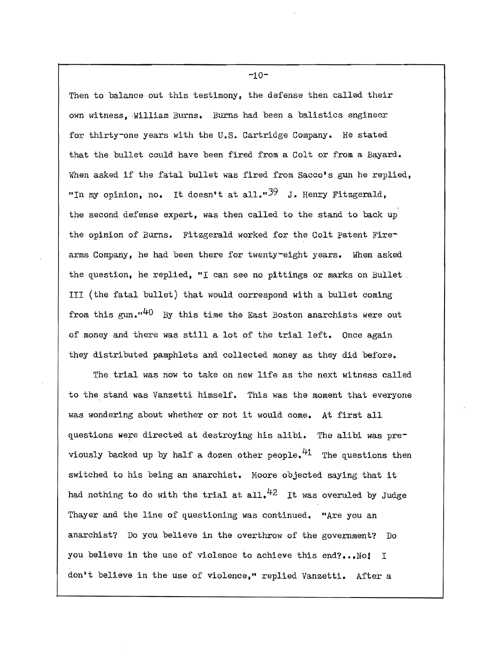Then to balance out this testimony, the defense then called their own witness,:William Burns. Burns had been a balistics engineer for thirty-one years with the U.S. Cartridge Company. He stated that the bullet could have been fired from a Colt or from a Bayard. When asked if the fatal bullet was fired from Sacco's gun he replied. "In my opinion, no, It doesn't at all." $39$  J. Henry Fitzgerald, the second defense expert, was then called to the stand to back up the opinion of Burns. Fitzgerald worked for the Colt Patent Firearms Company, he had been there for twenty-eight years. When asked the question, he replied, "I can see no pittings or marks on Bullet. III (the fatal bullet) that would correspond with a bullet coming from this gun. $440$  By this time the East Boston anarchists were out of money and there was still a lot of the trial left. Once again they distributed pamphlets and collected money as they did before.

The trial was now to take on new life as the next witness called to the stand was Vanzetti himself. This was the moment that everyone was wondering about whether or not it would come. At first all questions were directed at destroying his alibi. The alibi was previously backed up by half a dozen other people.  $41$  The questions then switched to his being an anarchist. Moore objected saying that it had nothing to do with the trial at all.<sup>42</sup> It was overuled by Judge Thayer and the line of questioning was continued. "Are you an anarchist? Do you believe in the overthrow of the government? Do you believe in the use of violence to achieve this end?... No! I don't believe in the use of violence," replied Vanzetti. After a

 $-10-$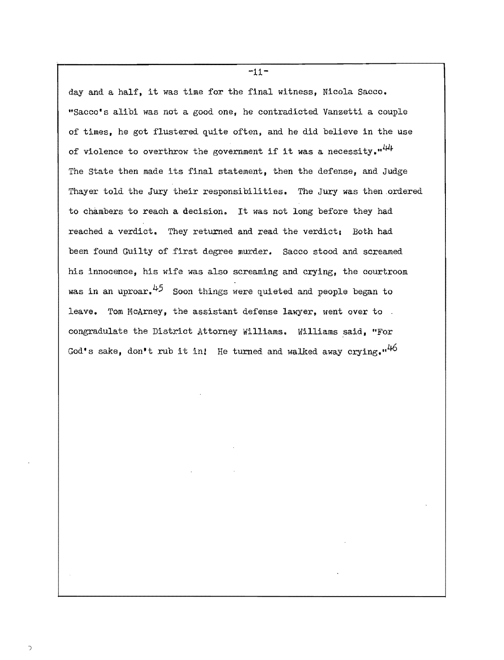day and a half, it was time for the final witness, Nicola Sacco. "Sacco's alibi was not a good one, he contradicted Vanzetti a couple of times, he got flustered quite often, and he did believe in the use of violence to overthrow the government if it was a necessity. $"^{44}$ The State then made its final statement, then the defense, and Judge Thayer told the Jury their responsibilities. The Jury was then.ordered to chambers to reach a decision. It was not long before they had reached a verdict. They returned and read the verdict; Both had been found Guilty of first degree murder. Sacco stood and screamed his innocence, his wife was also screaming and crying, the courtroom was in an uproar. $45$  Soon things were quieted and people began to leave. Tom McArney, the assistant defense lawyer, went over to. congradulate the District Attorney Williams. Williams said, "For God's sake, don't rub it in! He turned and walked away crying."<sup>46</sup>

 $-11-$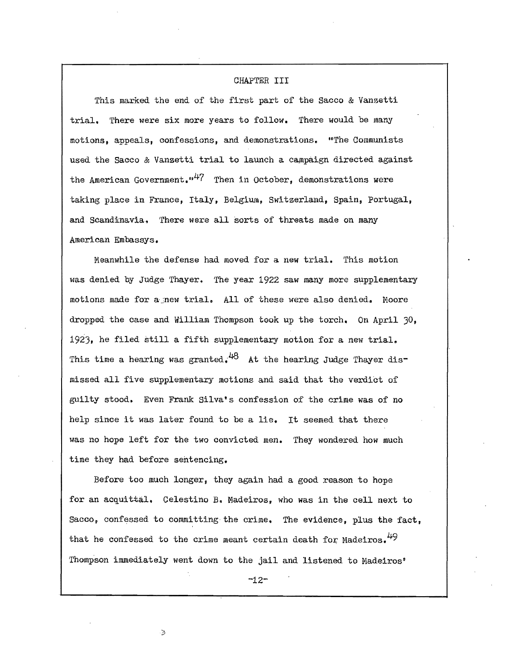### CHAPTER III

This marked the end of the first part of the Sacco & Vanzetti trial. 'fhere were six more years to follow. There would be many motions, appeals, confessions, and demonstrations. "The Communists used the Sacco & Vanzetti trial to launch a campaign directed against the American Government.  $u^{47}$  Then in October, demonstrations were taking place in France, Italy, Belgium, Switzerland, Spain, Portugal, and Scandinavia. There were all sorts of threats made on many American Embassys.

Meanwhile the defense had moved for a new trial. This motion was denied by Judge Thayer. The year 1922 saw many more supplementary motions made for a new trial. All of these were also denied. Moore dropped the case and William Thompson took up the torch. On April 30, 1923, he filed still a fifth supplementary motion for a new trial. This time a hearing was granted.<sup>48</sup> At the hearing Judge Thayer dismissed all five supplementary motions and said that the verdict of guilty stood. Even Frank Silva's confession of the crime was of no help since it was later found to be a lie. It seemed that there was no hope left for the two convicted men. They wondered how much time they had before sentencing.

Before too muoh longer, they again had a good reason to hope for an acquittal. Celestino B. Madeiros, who was in the cell next to Sacco, confessed to committing the crime. The evidence, plus the fact. that he confessed to the crime meant certain death for Madeiros.  $49$ Thompson immediately went down to the jail and listened to Hadeiros'

 $-12-$ 

٤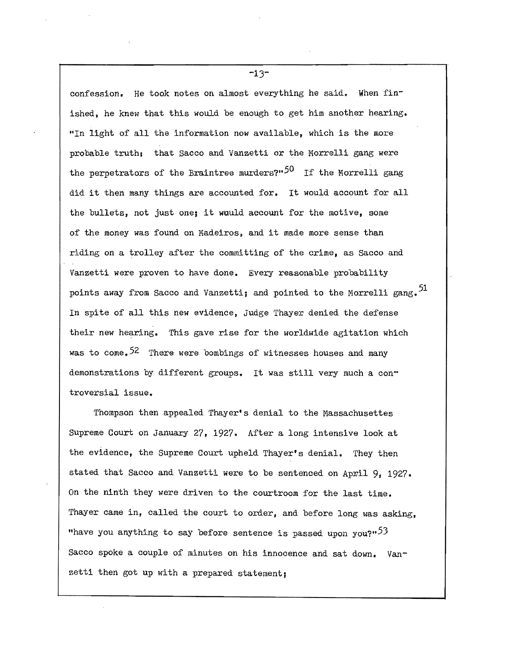confession. He took notes on almost everything he said. When finished, he knew that this would be enough to get him another hearing. "In light of all the information now available, which is the more probable truth: that Sacco and Vanzetti or the Morrelli gang were the perpetrators of the Braintree murders?" $50$  If the Morrelli gang did it then many things are accounted for. It would account for all the bullets, not just one; it would account for the motive, some of the money was found on Madeiros, and it made more sense than riding on a trolley after the committing of the crime, as Sacco and Vanzetti were proven to have done. Every reasonable probability points away from Sacco and Vanzetti; and pointed to the Morrelli gang.<sup>51</sup> In spite of all this new evidence. Judge Thayer denied the defense their new hearing. This gave rise for the worldwide agitation which was to come.  $52$  There were bombings of witnesses houses and many demonstrations by different groups. It was still very much a controversial issue.

 $-13-$ 

Thompson then appealed Thayer's denial to the Massachusettes Supreme Court on January 27, 1927. After a long intensive look at the evidence, the Supreme Court upheld Thayer's denial. They then stated that Sacco and Vanzetti were to be sentenced on April 9, 1927. On the ninth they were driven to the courtroom for the last time. Thayer came in, called the court to order, and before long was asking, "have you anything to say before sentence is passed upon you?" $53$ Sacco spoke a couple of minutes on his innocence and sat down. Vanzetti then got up with a prepared statement;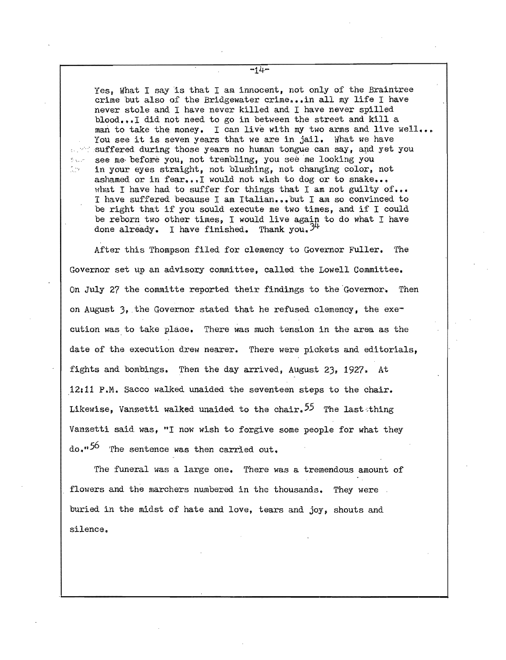Yes, What I say is that I am innocent, not only of the Braintree crime but also of the Bridgewater crime... in all my life I have neVer stole and I have never killed and I have never spilled blood...I did not need to go in between the street and kill a man to take the money. I can live with my two arms and live well... You see it is seven years that we are in jail. What we have  $\sim$  suffered during those years no human tongue can say, and yet you '.. ' see me· before you, not trembling, you see me looking you in your eyes straight, not blushing, not changing color, not ashamed or in fear... I would not wish to dog or to snake... what I have had to suffer for things that I am not guilty of... I have suffered because I am Italian...but I am so convinced to be right that if you sould execute me two times, and if I could be reborn two other times, I would live again to do what I have done already. I have finished. Thank you.  $34$ 

 $\mathcal{L}(\mathcal{A})$ 

After this Thompson filed for clemency to Governor Fuller. The Governor set up an advisory committee, called the Lowell Committee. On July 27 the committe reported their findings to the Governor. Then on August  $3$ , the Governor stated that he refused clemency, the execution was to take place. There was much tension in the area as the date of the execution drew nearer. There were pickets and editorials, fights and bombings. Then the day arrived, August 23, 1927. At 12:11 P.M. Sacco walked unaided the seventeen steps to the chair. Likewise, Vanzetti walked unaided to the chair.  $55$  The last thing Vanzetti said was, "I now wish to forgive some people for what they do."<sup>56</sup> The sentence was then carried out.

The funeral was a large one. There was a tremendous amount of flowers and the marchers numbered in the thousands. They were buried in the midst of hate and love, tears and joy, shouts and silence.

 $-14-$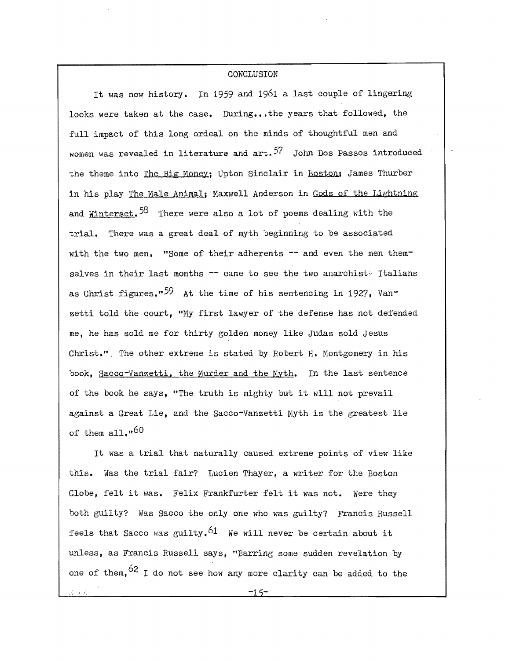## **CONCLUSION**

It was now history. In 1959 and 1961 a last couple of lingering looks were taken at the case. During...the years that followed, the full impact of this long ordeal on the minds of thoughtful men and women was revealed in literature and  $art.$ <sup>57</sup> John Dos Passos introduced the theme into The Big Money; Upton Sinclair in Boston; James Thurber in his play The Male Animal; Maxwell Anderson in Gods of the Lightning and Winterset.  $58$  There were also a lot of poems dealing with the trial. There was a great deal of myth beginning to be associated with the two men. "Some of their adherents  $-$  and even the men themselves in their last months  $-$  came to see the two anarchist. Italians as Ghrist figures."<sup>59</sup> At the time of his sentencing in 1927, Vanzetti told the court, "Ny first lawyer of the defense has not defended me, he has sold me for thirty golden money like Judas sold Jesus Christ.". The other extreme is stated by Robert H. Montgomery in his book, Sacco-Vanzetti, the Murder and the Myth. In the last sentence of the book he says, "The truth is mighty but it will not prevail against a Great Lie, and the Sacco-Vanzetti Myth is the greatest lie of them  $a11.060$ 

It was a trial that naturally caused extreme points of view like this. Was the trial fair? Lucien Thayer, a writer for the Boston Globe, felt it was. Felix Frankfurter felt it was not. Were they both guilty? Was Sacco the only one who was guilty? Francis Russell feels that Sacco was guilty.<sup>61</sup> We will never be certain about it unless, as Francis Russell says, "Barring some sudden revelation by one of them,  $62$  I do not see how any more clarity can be added to the

, i.e.,  $-1.5$  -1.5  $-1.5$  -1.5  $-1.5$  -1.1  $-1.5$  -1.1  $-1.5$  -1.1  $-1.5$  -1.1  $-1.5$  -1.1  $-1.5$  -1.1  $-1.5$  -1.1  $-1.5$  -1.1  $-1.5$  -1.1  $-1.5$  -1.1  $-1.5$  -1.1  $-1.5$  -1.1  $-1.5$  -1.1  $-1.5$  -1.1  $-1.5$  -1.1  $-1.5$  -1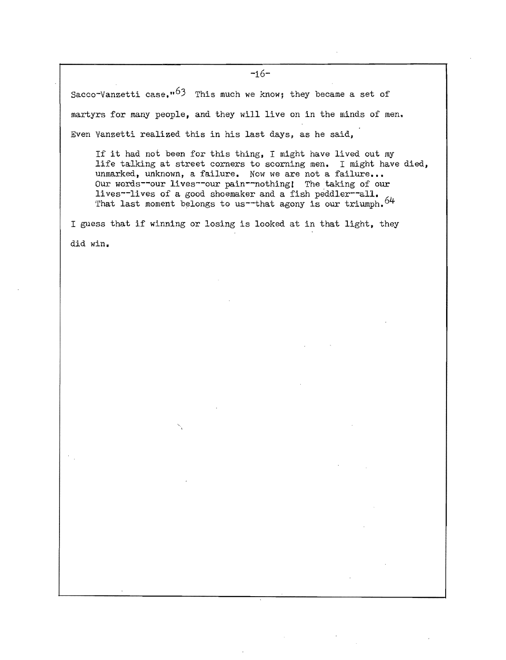Sacco-Vanzetti case.<sup>163</sup> This much we know; they became a set of martyrs for many people, and they will live on in the minds of men. Even Vanzetti realized this in his last days, as he said,

If it had not been for this thing, I might have lived out my life talking at street corners to scorning men. I might have died, unmarked, unknown, a failure. Now we are not a failure... Our words--our lives--our pain--nothing! The taking of our lives--lives of a good shoemaker and a fish peddler--all. That last moment belongs to us-that agony is our triumph.  $64$ 

I guess that if winning or losing is looked at in that light, they did win.

**-16**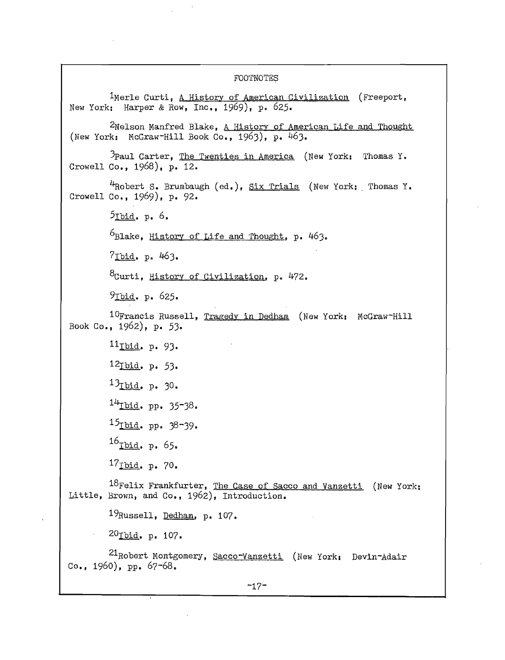### FOOTNOTES

<sup>1</sup>Merle Curti, <u>A History of American Civilization</u> (Freeport, New York: Harper & Row, Inc., 1969), p. 625. 2Nelson Manfred Blake, A History of American Life and Thought (New York: McGraw-Hill Book Co., 1963), p. 463. )Paul Carter, The Twenties in America (New York: Thomas Y. Crowell Co., 1968). p. 12.  $4R$ Obert S. Brumbaugh (ed.), Six Trials (New York: Thomas Y. Crowell Co., 1969), p. 92.  $5$ Ibid. p. 6.  $6B$ lake, History of Life and Thought, p. 463.  $7$ Ibid. p. 463. 8Curti, History of Civilization, p. 472. 9Ibid. p. 625. 10Francis Russell, Tragedy in Dedham (New York: McGraw-Hill Book Co., 1962), p. 53. llIbid. p. 93. 12<sub>Ibid.</sub> p. 53.  $13_{\text{I} \text{bid. p. } 30.$  $14$ Ibid. pp. 35-38. 15<sub>Ibid.</sub> pp. 38-39.  $16$ Ibid. p. 65.  $17_{\text{Ibid. p. }70.$  $18$ Felix Frankfurter, The Case of Sacco and Vanzetti (New York: Little, Brown, and Co., 1962), Introduction. 19Russell, Dedham, p. 107. 20<sub>Ibid. p. 107.</sub> 21Robert Montgomery, Sacco-Yanzetti (New Yorks Devin-Adair Co., 1960), pp. 67-68.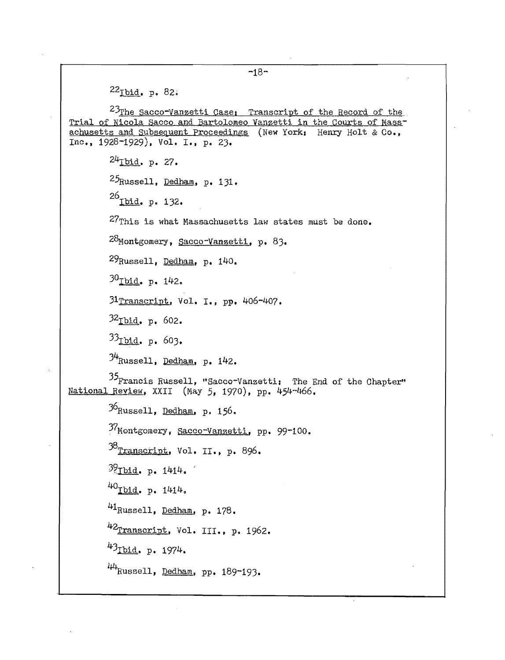$-18 22_{\text{Ibid. p. }82.5}$  $23$ The Sacco-Vanzetti Case, Transcript of the Record of the Trial of Nicola Sacco and Bartolomeo Vanzetti in the Courts of Massachusetts and Subsequent Proceedings (New York, Henry Holt & Co., Inc., 1928-1929). Vol. I., p. 23.  $24$ Tbid. p. 27.  $25$ Russell, Dedham, p. 131.  $^{26}$ Ibid. p. 132. 27This is what Massachusetts law states must be done. 28Montgomery, Sacco-Vanzetti, p. 83. 29Russell, Dedham, p. 140. 30<sub>Ibid. p. 142.</sub> 31Transcript. Vol. I., pp. 406-407. 32Ibid. p. 602.  $33_{\text{I} \text{bid. p. 603.}}$  $34$ Russell, Dedham, p. 142. 35Francis Russell, "Sacco-Vanzetti: The End of the Chapter" National Review, XXII (May 5, 1970), pp. 454-466.  $36$ Russell, Dedham, p. 156. 37Montgomery, Sacco-Vanzetti, pp. 99-100. 38<sub>Transcript</sub>, Vol. II., p. 896.  $39$ Tbid. p. 1414. 40 $\underline{\text{rbld}}$ . p. 1414.  $^{41}$ Russell, <u>Dedham</u>, p. 178. 42<sub>Transcript</sub>, Vol. III., p. 1962. 43 $_{\text{Ibid.}}$  p. 1974.  $44$ Russell, Dedham, pp. 189-193.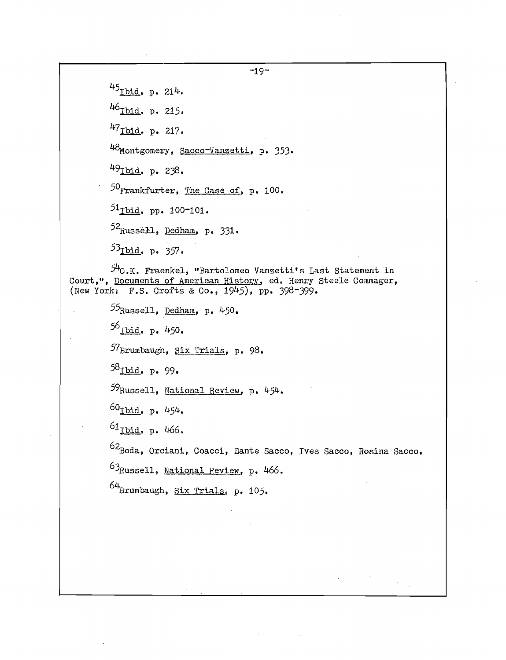$-19 45$ <sub>Ibid. p. 214.</sub> 46<sub>Ibid</sub>. p. 215.  $47$  Ibid. p. 217. 48Montgomery, Sacco-Vanzetti, p. 353. 49<u>Tbid</u>. p. 238. 50<sub>F</sub>rankfurter, The Case of, p. 100.  $51$ <sub>Ibid</sub>. pp. 100-101. 52<sub>Russell, Dedham, p. 331.</sub> 53<sub>Ibid. p. 357.</sub> 54o.K. Fraenkel, "Bartolomeo Vanzetti's Last statement in Court,", Documents of American History, ed. Henry Steele Commager, (New York: F.S. Crofts & Co., 1945), pp. 398-399.  $55_{\text{Russell}}$ , Dedham, p. 450.  $56$ <sub>Ibid. p. 450.</sub>  $57$ Brumbaugh, Six Trials, p. 98. 58<sub>Ibid. p. 99.</sub> 59 Russell, National Review, p. 454.  $60$ Ibid. p. 454.  $^{61}$ Ibid, p. 466. 62Boda, Orciani, Coacci, Dante Sacco, Ives Sacco, Rosina Sacco. 63 Russell, National Review, p. 466.  $64$ Brumbaugh, Six Trials, p. 105.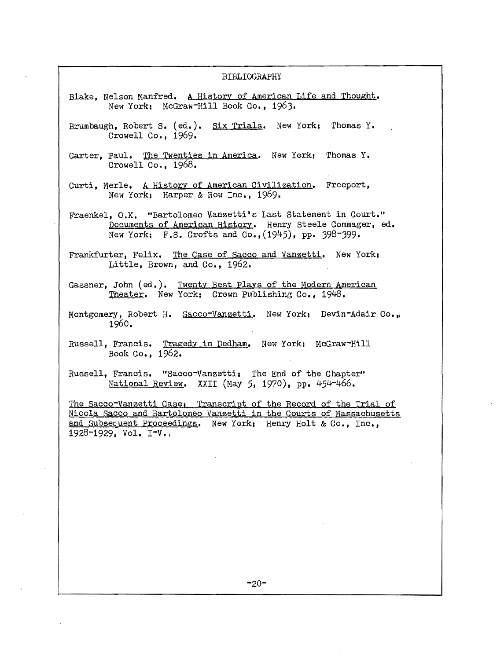#### BIBLIOGRAPHY

- Blake, Nelson Manfred. A History of American Life and Thought. New York: McGraw-Hill Book Co., 1963.
- Brumbaugh, Robert s. (ed.). Six Trials. New York: Thomas Y. Crowell Co., 1969.
- Carter, Paul. The Twenties in America. New York: Thomas Y. Crowell Co.  $1968.$
- Curti, Merle. A History of American Civilization. Freeport, New York: Harper & Row Inc., 1969.

Fraenkel, O.K. "Bartolomeo ¥anzetti's Last Statement in Court." Documents of American History. Henry Steele Commager, ed. New York:  $F.S.$  Crofts and Co.,  $(1945)$ , pp. 398-399.

Frankfurter, Felix. The Case of Sacco and Vanzetti. New York, Little, Brown, and Co., 1962.

- Gassner, John (ed.). Twenty Best Plays of the Modern American Theater. New York: Crown Publishing Co., 1948.
- Montgomery, Robert H. Sacco-Vanzetti. New York: Devin-Adair Co., 1960.
- Russell, Francis. Tragedy in Dedham. New York: McGraw-Hill Book Co., 1962.
- Russell, Francis. "Sacco-Yanzetti, The End of the Chapter" National Review. XXII (May 5, 1970), pp. 454-466.

The Sacco-Vanzetti Case; Transcript of the Record of the Trial of Nicola Sacco and Bartolomeo yanzetti in the Qourts of Massachusetts and Subsequent Proceedings. New York: Henry Holt & Co., Inc., 1928-1929, Vol. I-V.,